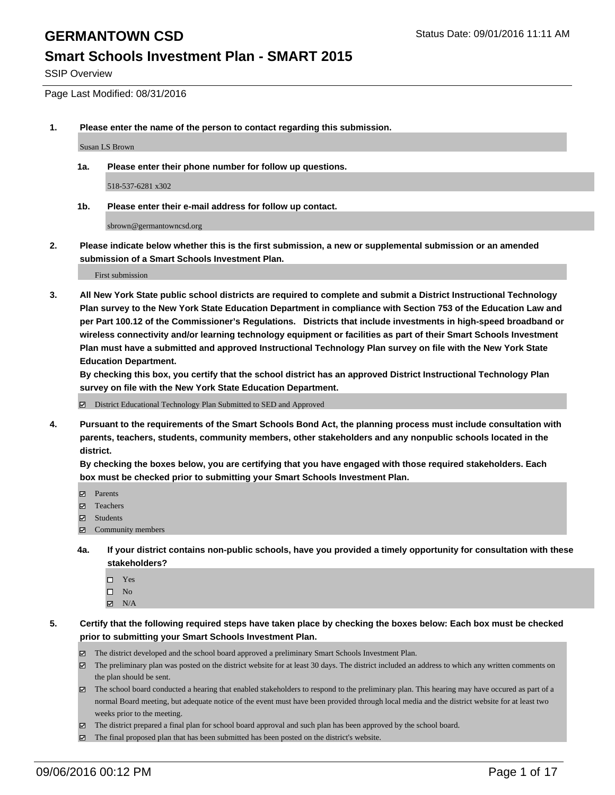#### **Smart Schools Investment Plan - SMART 2015**

SSIP Overview

Page Last Modified: 08/31/2016

**1. Please enter the name of the person to contact regarding this submission.**

Susan LS Brown

**1a. Please enter their phone number for follow up questions.**

518-537-6281 x302

**1b. Please enter their e-mail address for follow up contact.**

sbrown@germantowncsd.org

**2. Please indicate below whether this is the first submission, a new or supplemental submission or an amended submission of a Smart Schools Investment Plan.**

First submission

**3. All New York State public school districts are required to complete and submit a District Instructional Technology Plan survey to the New York State Education Department in compliance with Section 753 of the Education Law and per Part 100.12 of the Commissioner's Regulations. Districts that include investments in high-speed broadband or wireless connectivity and/or learning technology equipment or facilities as part of their Smart Schools Investment Plan must have a submitted and approved Instructional Technology Plan survey on file with the New York State Education Department.** 

**By checking this box, you certify that the school district has an approved District Instructional Technology Plan survey on file with the New York State Education Department.**

District Educational Technology Plan Submitted to SED and Approved

**4. Pursuant to the requirements of the Smart Schools Bond Act, the planning process must include consultation with parents, teachers, students, community members, other stakeholders and any nonpublic schools located in the district.** 

**By checking the boxes below, you are certifying that you have engaged with those required stakeholders. Each box must be checked prior to submitting your Smart Schools Investment Plan.**

- Parents
- Teachers
- $\boxtimes$  Students
- Community members
- **4a. If your district contains non-public schools, have you provided a timely opportunity for consultation with these stakeholders?**
	- $\Box$  Yes  $\square$  No
	- $\boxtimes$  N/A
- **5. Certify that the following required steps have taken place by checking the boxes below: Each box must be checked prior to submitting your Smart Schools Investment Plan.**
	- The district developed and the school board approved a preliminary Smart Schools Investment Plan.
	- The preliminary plan was posted on the district website for at least 30 days. The district included an address to which any written comments on the plan should be sent.
	- The school board conducted a hearing that enabled stakeholders to respond to the preliminary plan. This hearing may have occured as part of a normal Board meeting, but adequate notice of the event must have been provided through local media and the district website for at least two weeks prior to the meeting.
	- The district prepared a final plan for school board approval and such plan has been approved by the school board.
	- $\boxtimes$  The final proposed plan that has been submitted has been posted on the district's website.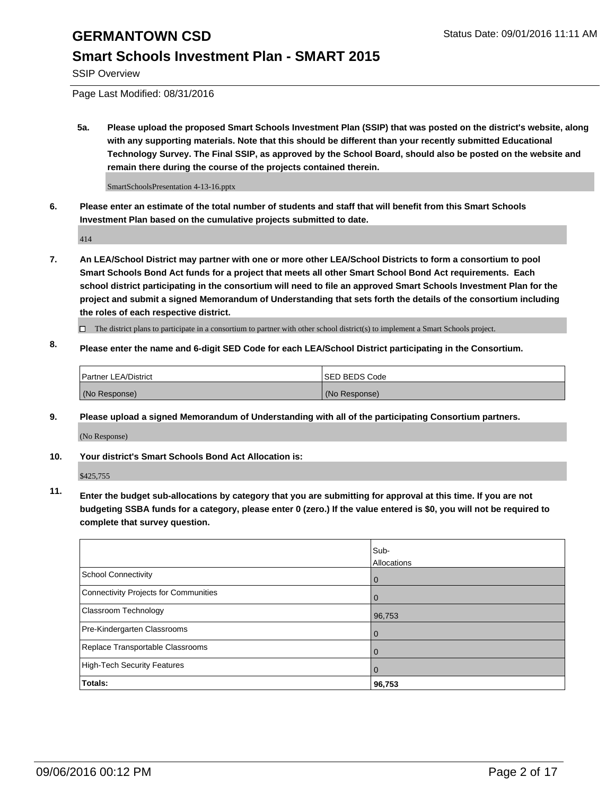#### **Smart Schools Investment Plan - SMART 2015**

SSIP Overview

Page Last Modified: 08/31/2016

**5a. Please upload the proposed Smart Schools Investment Plan (SSIP) that was posted on the district's website, along with any supporting materials. Note that this should be different than your recently submitted Educational Technology Survey. The Final SSIP, as approved by the School Board, should also be posted on the website and remain there during the course of the projects contained therein.**

SmartSchoolsPresentation 4-13-16.pptx

**6. Please enter an estimate of the total number of students and staff that will benefit from this Smart Schools Investment Plan based on the cumulative projects submitted to date.**

414

- **7. An LEA/School District may partner with one or more other LEA/School Districts to form a consortium to pool Smart Schools Bond Act funds for a project that meets all other Smart School Bond Act requirements. Each school district participating in the consortium will need to file an approved Smart Schools Investment Plan for the project and submit a signed Memorandum of Understanding that sets forth the details of the consortium including the roles of each respective district.**
	- $\Box$  The district plans to participate in a consortium to partner with other school district(s) to implement a Smart Schools project.
- **8. Please enter the name and 6-digit SED Code for each LEA/School District participating in the Consortium.**

| <b>Partner LEA/District</b> | ISED BEDS Code |
|-----------------------------|----------------|
| (No Response)               | (No Response)  |

**9. Please upload a signed Memorandum of Understanding with all of the participating Consortium partners.**

(No Response)

#### **10. Your district's Smart Schools Bond Act Allocation is:**

\$425,755

**11. Enter the budget sub-allocations by category that you are submitting for approval at this time. If you are not budgeting SSBA funds for a category, please enter 0 (zero.) If the value entered is \$0, you will not be required to complete that survey question.**

|                                       | Sub-<br>Allocations |
|---------------------------------------|---------------------|
| <b>School Connectivity</b>            | 0                   |
| Connectivity Projects for Communities | 0                   |
| Classroom Technology                  | 96,753              |
| Pre-Kindergarten Classrooms           | $\Omega$            |
| Replace Transportable Classrooms      | $\Omega$            |
| High-Tech Security Features           | $\Omega$            |
| Totals:                               | 96,753              |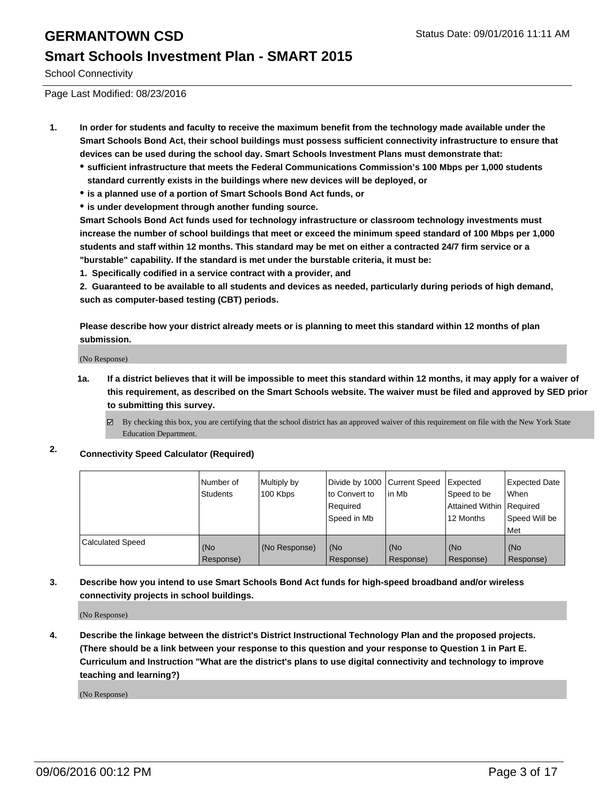#### **Smart Schools Investment Plan - SMART 2015**

School Connectivity

Page Last Modified: 08/23/2016

- **1. In order for students and faculty to receive the maximum benefit from the technology made available under the Smart Schools Bond Act, their school buildings must possess sufficient connectivity infrastructure to ensure that devices can be used during the school day. Smart Schools Investment Plans must demonstrate that:**
	- **sufficient infrastructure that meets the Federal Communications Commission's 100 Mbps per 1,000 students standard currently exists in the buildings where new devices will be deployed, or**
	- **is a planned use of a portion of Smart Schools Bond Act funds, or**
	- **is under development through another funding source.**

**Smart Schools Bond Act funds used for technology infrastructure or classroom technology investments must increase the number of school buildings that meet or exceed the minimum speed standard of 100 Mbps per 1,000 students and staff within 12 months. This standard may be met on either a contracted 24/7 firm service or a "burstable" capability. If the standard is met under the burstable criteria, it must be:**

**1. Specifically codified in a service contract with a provider, and**

**2. Guaranteed to be available to all students and devices as needed, particularly during periods of high demand, such as computer-based testing (CBT) periods.**

**Please describe how your district already meets or is planning to meet this standard within 12 months of plan submission.**

(No Response)

- **1a. If a district believes that it will be impossible to meet this standard within 12 months, it may apply for a waiver of this requirement, as described on the Smart Schools website. The waiver must be filed and approved by SED prior to submitting this survey.**
	- By checking this box, you are certifying that the school district has an approved waiver of this requirement on file with the New York State Education Department.
- **2. Connectivity Speed Calculator (Required)**

|                         | Number of<br><b>Students</b> | Multiply by<br>100 Kbps | Divide by 1000 Current Speed<br>to Convert to<br>Required<br>Speed in Mb | lin Mb           | Expected<br>Speed to be<br>Attained Within Required<br>12 Months | Expected Date<br>l When<br>Speed Will be<br>l Met |
|-------------------------|------------------------------|-------------------------|--------------------------------------------------------------------------|------------------|------------------------------------------------------------------|---------------------------------------------------|
| <b>Calculated Speed</b> | (No<br>Response)             | (No Response)           | (No<br>Response)                                                         | (No<br>Response) | (No<br>Response)                                                 | (No<br>Response)                                  |

#### **3. Describe how you intend to use Smart Schools Bond Act funds for high-speed broadband and/or wireless connectivity projects in school buildings.**

(No Response)

**4. Describe the linkage between the district's District Instructional Technology Plan and the proposed projects. (There should be a link between your response to this question and your response to Question 1 in Part E. Curriculum and Instruction "What are the district's plans to use digital connectivity and technology to improve teaching and learning?)**

(No Response)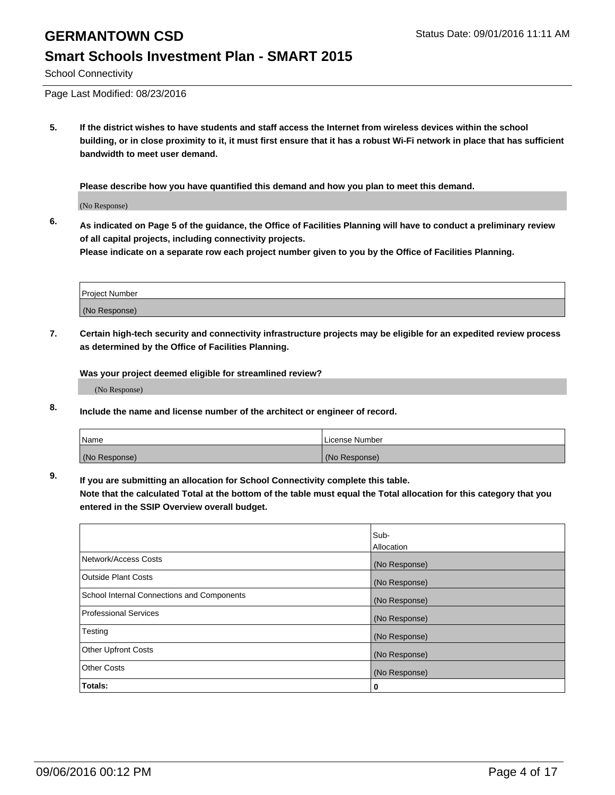## **Smart Schools Investment Plan - SMART 2015**

School Connectivity

Page Last Modified: 08/23/2016

**5. If the district wishes to have students and staff access the Internet from wireless devices within the school building, or in close proximity to it, it must first ensure that it has a robust Wi-Fi network in place that has sufficient bandwidth to meet user demand.**

**Please describe how you have quantified this demand and how you plan to meet this demand.**

(No Response)

**6. As indicated on Page 5 of the guidance, the Office of Facilities Planning will have to conduct a preliminary review of all capital projects, including connectivity projects.**

**Please indicate on a separate row each project number given to you by the Office of Facilities Planning.**

| Project Number |  |
|----------------|--|
| (No Response)  |  |

**7. Certain high-tech security and connectivity infrastructure projects may be eligible for an expedited review process as determined by the Office of Facilities Planning.**

**Was your project deemed eligible for streamlined review?**

(No Response)

**8. Include the name and license number of the architect or engineer of record.**

| <b>Name</b>   | License Number |
|---------------|----------------|
| (No Response) | (No Response)  |

**9. If you are submitting an allocation for School Connectivity complete this table.**

**Note that the calculated Total at the bottom of the table must equal the Total allocation for this category that you entered in the SSIP Overview overall budget.** 

|                                            | Sub-          |
|--------------------------------------------|---------------|
|                                            | Allocation    |
| Network/Access Costs                       | (No Response) |
| <b>Outside Plant Costs</b>                 | (No Response) |
| School Internal Connections and Components | (No Response) |
| <b>Professional Services</b>               | (No Response) |
| Testing                                    | (No Response) |
| <b>Other Upfront Costs</b>                 | (No Response) |
| <b>Other Costs</b>                         | (No Response) |
| Totals:                                    | 0             |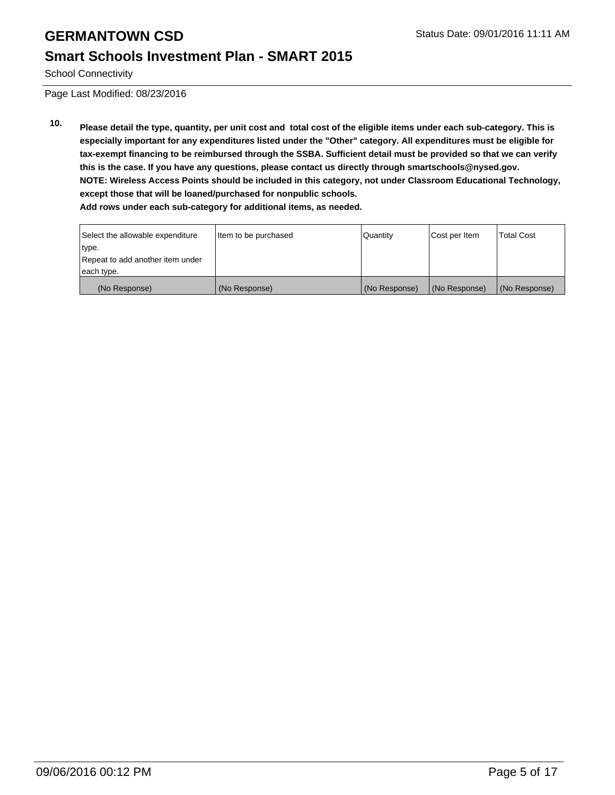#### **Smart Schools Investment Plan - SMART 2015**

School Connectivity

Page Last Modified: 08/23/2016

**10. Please detail the type, quantity, per unit cost and total cost of the eligible items under each sub-category. This is especially important for any expenditures listed under the "Other" category. All expenditures must be eligible for tax-exempt financing to be reimbursed through the SSBA. Sufficient detail must be provided so that we can verify this is the case. If you have any questions, please contact us directly through smartschools@nysed.gov. NOTE: Wireless Access Points should be included in this category, not under Classroom Educational Technology, except those that will be loaned/purchased for nonpublic schools. Add rows under each sub-category for additional items, as needed.**

| Select the allowable expenditure | Item to be purchased | Quantity      | Cost per Item | <b>Total Cost</b> |
|----------------------------------|----------------------|---------------|---------------|-------------------|
| type.                            |                      |               |               |                   |
| Repeat to add another item under |                      |               |               |                   |
| each type.                       |                      |               |               |                   |
| (No Response)                    | (No Response)        | (No Response) | (No Response) | (No Response)     |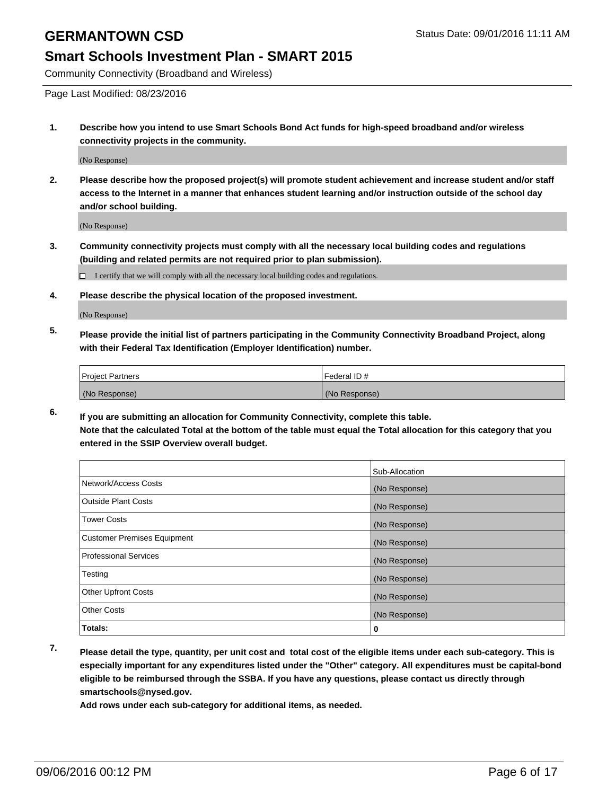### **Smart Schools Investment Plan - SMART 2015**

Community Connectivity (Broadband and Wireless)

Page Last Modified: 08/23/2016

**1. Describe how you intend to use Smart Schools Bond Act funds for high-speed broadband and/or wireless connectivity projects in the community.**

(No Response)

**2. Please describe how the proposed project(s) will promote student achievement and increase student and/or staff access to the Internet in a manner that enhances student learning and/or instruction outside of the school day and/or school building.**

(No Response)

**3. Community connectivity projects must comply with all the necessary local building codes and regulations (building and related permits are not required prior to plan submission).**

 $\Box$  I certify that we will comply with all the necessary local building codes and regulations.

**4. Please describe the physical location of the proposed investment.**

(No Response)

**5. Please provide the initial list of partners participating in the Community Connectivity Broadband Project, along with their Federal Tax Identification (Employer Identification) number.**

| <b>Project Partners</b> | Federal ID#   |
|-------------------------|---------------|
| (No Response)           | (No Response) |

**6. If you are submitting an allocation for Community Connectivity, complete this table. Note that the calculated Total at the bottom of the table must equal the Total allocation for this category that you entered in the SSIP Overview overall budget.**

|                                    | Sub-Allocation |
|------------------------------------|----------------|
| Network/Access Costs               | (No Response)  |
| <b>Outside Plant Costs</b>         | (No Response)  |
| Tower Costs                        | (No Response)  |
| <b>Customer Premises Equipment</b> | (No Response)  |
| <b>Professional Services</b>       | (No Response)  |
| Testing                            | (No Response)  |
| <b>Other Upfront Costs</b>         | (No Response)  |
| <b>Other Costs</b>                 | (No Response)  |
| Totals:                            | 0              |

**7. Please detail the type, quantity, per unit cost and total cost of the eligible items under each sub-category. This is especially important for any expenditures listed under the "Other" category. All expenditures must be capital-bond eligible to be reimbursed through the SSBA. If you have any questions, please contact us directly through smartschools@nysed.gov.**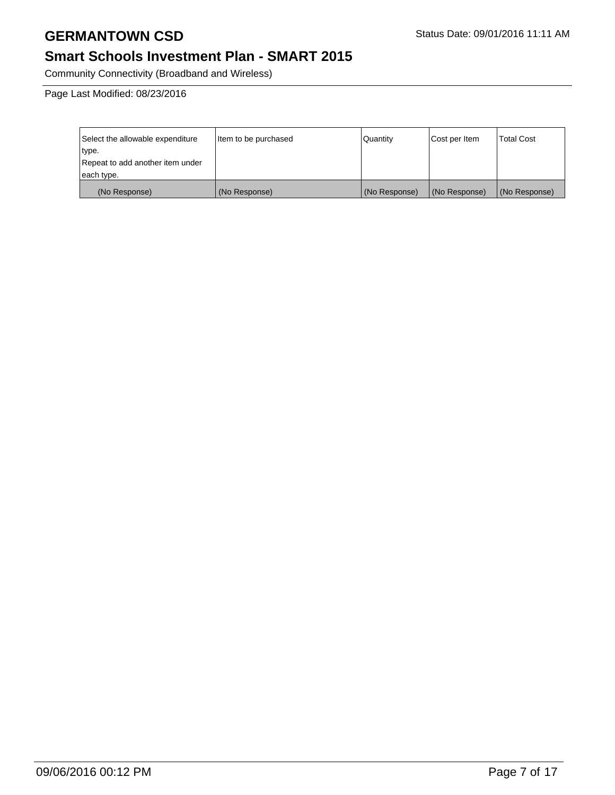## **Smart Schools Investment Plan - SMART 2015**

Community Connectivity (Broadband and Wireless)

Page Last Modified: 08/23/2016

| Select the allowable expenditure | litem to be purchased | Quantity      | Cost per Item | Total Cost    |
|----------------------------------|-----------------------|---------------|---------------|---------------|
| type.                            |                       |               |               |               |
| Repeat to add another item under |                       |               |               |               |
| each type.                       |                       |               |               |               |
| (No Response)                    | (No Response)         | (No Response) | (No Response) | (No Response) |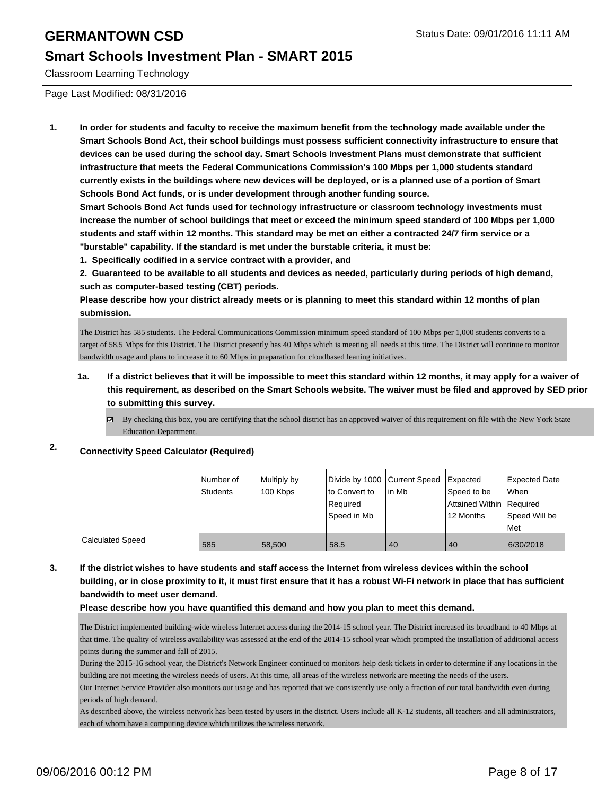#### **Smart Schools Investment Plan - SMART 2015**

Classroom Learning Technology

Page Last Modified: 08/31/2016

**1. In order for students and faculty to receive the maximum benefit from the technology made available under the Smart Schools Bond Act, their school buildings must possess sufficient connectivity infrastructure to ensure that devices can be used during the school day. Smart Schools Investment Plans must demonstrate that sufficient infrastructure that meets the Federal Communications Commission's 100 Mbps per 1,000 students standard currently exists in the buildings where new devices will be deployed, or is a planned use of a portion of Smart Schools Bond Act funds, or is under development through another funding source.**

**Smart Schools Bond Act funds used for technology infrastructure or classroom technology investments must increase the number of school buildings that meet or exceed the minimum speed standard of 100 Mbps per 1,000 students and staff within 12 months. This standard may be met on either a contracted 24/7 firm service or a "burstable" capability. If the standard is met under the burstable criteria, it must be:**

**1. Specifically codified in a service contract with a provider, and**

**2. Guaranteed to be available to all students and devices as needed, particularly during periods of high demand, such as computer-based testing (CBT) periods.**

**Please describe how your district already meets or is planning to meet this standard within 12 months of plan submission.**

The District has 585 students. The Federal Communications Commission minimum speed standard of 100 Mbps per 1,000 students converts to a target of 58.5 Mbps for this District. The District presently has 40 Mbps which is meeting all needs at this time. The District will continue to monitor bandwidth usage and plans to increase it to 60 Mbps in preparation for cloudbased leaning initiatives.

- **1a. If a district believes that it will be impossible to meet this standard within 12 months, it may apply for a waiver of this requirement, as described on the Smart Schools website. The waiver must be filed and approved by SED prior to submitting this survey.**
	- By checking this box, you are certifying that the school district has an approved waiver of this requirement on file with the New York State Education Department.

#### **2. Connectivity Speed Calculator (Required)**

|                         | Number of | Multiply by | Divide by 1000 Current Speed |         | Expected                   | Expected Date |
|-------------------------|-----------|-------------|------------------------------|---------|----------------------------|---------------|
|                         | Students  | 100 Kbps    | lto Convert to               | l in Mb | Speed to be                | l When        |
|                         |           |             | Required                     |         | Attained Within   Required |               |
|                         |           |             | Speed in Mb                  |         | 12 Months                  | Speed Will be |
|                         |           |             |                              |         |                            | l Met         |
| <b>Calculated Speed</b> | 585       | 58,500      | 58.5                         | 40      | 40                         | 6/30/2018     |

#### **3. If the district wishes to have students and staff access the Internet from wireless devices within the school building, or in close proximity to it, it must first ensure that it has a robust Wi-Fi network in place that has sufficient bandwidth to meet user demand.**

#### **Please describe how you have quantified this demand and how you plan to meet this demand.**

The District implemented building-wide wireless Internet access during the 2014-15 school year. The District increased its broadband to 40 Mbps at that time. The quality of wireless availability was assessed at the end of the 2014-15 school year which prompted the installation of additional access points during the summer and fall of 2015.

During the 2015-16 school year, the District's Network Engineer continued to monitors help desk tickets in order to determine if any locations in the building are not meeting the wireless needs of users. At this time, all areas of the wireless network are meeting the needs of the users.

Our Internet Service Provider also monitors our usage and has reported that we consistently use only a fraction of our total bandwidth even during periods of high demand.

As described above, the wireless network has been tested by users in the district. Users include all K-12 students, all teachers and all administrators, each of whom have a computing device which utilizes the wireless network.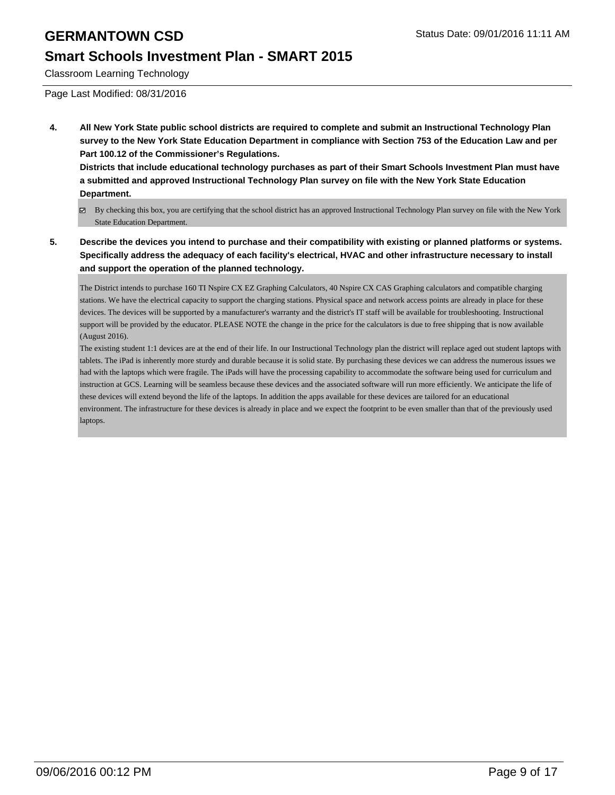#### **Smart Schools Investment Plan - SMART 2015**

Classroom Learning Technology

Page Last Modified: 08/31/2016

**4. All New York State public school districts are required to complete and submit an Instructional Technology Plan survey to the New York State Education Department in compliance with Section 753 of the Education Law and per Part 100.12 of the Commissioner's Regulations.**

**Districts that include educational technology purchases as part of their Smart Schools Investment Plan must have a submitted and approved Instructional Technology Plan survey on file with the New York State Education Department.**

- By checking this box, you are certifying that the school district has an approved Instructional Technology Plan survey on file with the New York State Education Department.
- **5. Describe the devices you intend to purchase and their compatibility with existing or planned platforms or systems. Specifically address the adequacy of each facility's electrical, HVAC and other infrastructure necessary to install and support the operation of the planned technology.**

The District intends to purchase 160 TI Nspire CX EZ Graphing Calculators, 40 Nspire CX CAS Graphing calculators and compatible charging stations. We have the electrical capacity to support the charging stations. Physical space and network access points are already in place for these devices. The devices will be supported by a manufacturer's warranty and the district's IT staff will be available for troubleshooting. Instructional support will be provided by the educator. PLEASE NOTE the change in the price for the calculators is due to free shipping that is now available (August 2016).

The existing student 1:1 devices are at the end of their life. In our Instructional Technology plan the district will replace aged out student laptops with tablets. The iPad is inherently more sturdy and durable because it is solid state. By purchasing these devices we can address the numerous issues we had with the laptops which were fragile. The iPads will have the processing capability to accommodate the software being used for curriculum and instruction at GCS. Learning will be seamless because these devices and the associated software will run more efficiently. We anticipate the life of these devices will extend beyond the life of the laptops. In addition the apps available for these devices are tailored for an educational environment. The infrastructure for these devices is already in place and we expect the footprint to be even smaller than that of the previously used laptops.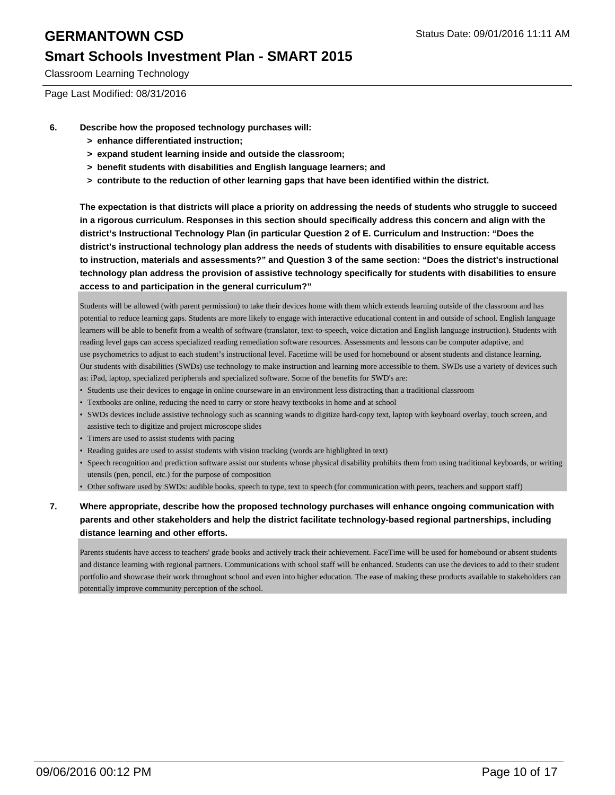### **Smart Schools Investment Plan - SMART 2015**

Classroom Learning Technology

Page Last Modified: 08/31/2016

- **6. Describe how the proposed technology purchases will:**
	- **> enhance differentiated instruction;**
	- **> expand student learning inside and outside the classroom;**
	- **> benefit students with disabilities and English language learners; and**
	- **> contribute to the reduction of other learning gaps that have been identified within the district.**

**The expectation is that districts will place a priority on addressing the needs of students who struggle to succeed in a rigorous curriculum. Responses in this section should specifically address this concern and align with the district's Instructional Technology Plan (in particular Question 2 of E. Curriculum and Instruction: "Does the district's instructional technology plan address the needs of students with disabilities to ensure equitable access to instruction, materials and assessments?" and Question 3 of the same section: "Does the district's instructional technology plan address the provision of assistive technology specifically for students with disabilities to ensure access to and participation in the general curriculum?"**

Students will be allowed (with parent permission) to take their devices home with them which extends learning outside of the classroom and has potential to reduce learning gaps. Students are more likely to engage with interactive educational content in and outside of school. English language learners will be able to benefit from a wealth of software (translator, text-to-speech, voice dictation and English language instruction). Students with reading level gaps can access specialized reading remediation software resources. Assessments and lessons can be computer adaptive, and use psychometrics to adjust to each student's instructional level. Facetime will be used for homebound or absent students and distance learning. Our students with disabilities (SWDs) use technology to make instruction and learning more accessible to them. SWDs use a variety of devices such as: iPad, laptop, specialized peripherals and specialized software. Some of the benefits for SWD's are:

- Students use their devices to engage in online courseware in an environment less distracting than a traditional classroom
- Textbooks are online, reducing the need to carry or store heavy textbooks in home and at school
- SWDs devices include assistive technology such as scanning wands to digitize hard-copy text, laptop with keyboard overlay, touch screen, and assistive tech to digitize and project microscope slides
- Timers are used to assist students with pacing
- Reading guides are used to assist students with vision tracking (words are highlighted in text)
- Speech recognition and prediction software assist our students whose physical disability prohibits them from using traditional keyboards, or writing utensils (pen, pencil, etc.) for the purpose of composition
- Other software used by SWDs: audible books, speech to type, text to speech (for communication with peers, teachers and support staff)

#### **7. Where appropriate, describe how the proposed technology purchases will enhance ongoing communication with parents and other stakeholders and help the district facilitate technology-based regional partnerships, including distance learning and other efforts.**

Parents students have access to teachers' grade books and actively track their achievement. FaceTime will be used for homebound or absent students and distance learning with regional partners. Communications with school staff will be enhanced. Students can use the devices to add to their student portfolio and showcase their work throughout school and even into higher education. The ease of making these products available to stakeholders can potentially improve community perception of the school.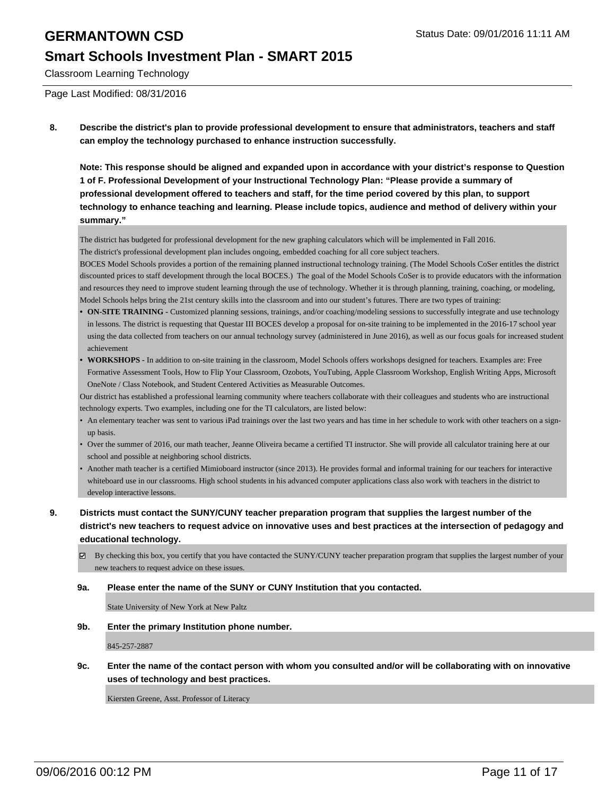### **Smart Schools Investment Plan - SMART 2015**

Classroom Learning Technology

Page Last Modified: 08/31/2016

**8. Describe the district's plan to provide professional development to ensure that administrators, teachers and staff can employ the technology purchased to enhance instruction successfully.**

**Note: This response should be aligned and expanded upon in accordance with your district's response to Question 1 of F. Professional Development of your Instructional Technology Plan: "Please provide a summary of professional development offered to teachers and staff, for the time period covered by this plan, to support technology to enhance teaching and learning. Please include topics, audience and method of delivery within your summary."**

The district has budgeted for professional development for the new graphing calculators which will be implemented in Fall 2016. The district's professional development plan includes ongoing, embedded coaching for all core subject teachers.

BOCES Model Schools provides a portion of the remaining planned instructional technology training. (The Model Schools CoSer entitles the district discounted prices to staff development through the local BOCES.) The goal of the Model Schools CoSer is to provide educators with the information and resources they need to improve student learning through the use of technology. Whether it is through planning, training, coaching, or modeling, Model Schools helps bring the 21st century skills into the classroom and into our student's futures. There are two types of training:

- ON-SITE TRAINING Customized planning sessions, trainings, and/or coaching/modeling sessions to successfully integrate and use technology in lessons. The district is requesting that Questar III BOCES develop a proposal for on-site training to be implemented in the 2016-17 school year using the data collected from teachers on our annual technology survey (administered in June 2016), as well as our focus goals for increased student achievement
- **WORKSHOPS** In addition to on-site training in the classroom, Model Schools offers workshops designed for teachers. Examples are: Free Formative Assessment Tools, How to Flip Your Classroom, Ozobots, YouTubing, Apple Classroom Workshop, English Writing Apps, Microsoft OneNote / Class Notebook, and Student Centered Activities as Measurable Outcomes. **•**

Our district has established a professional learning community where teachers collaborate with their colleagues and students who are instructional technology experts. Two examples, including one for the TI calculators, are listed below:

- An elementary teacher was sent to various iPad trainings over the last two years and has time in her schedule to work with other teachers on a signup basis.
- Over the summer of 2016, our math teacher, Jeanne Oliveira became a certified TI instructor. She will provide all calculator training here at our school and possible at neighboring school districts.
- Another math teacher is a certified Mimioboard instructor (since 2013). He provides formal and informal training for our teachers for interactive whiteboard use in our classrooms. High school students in his advanced computer applications class also work with teachers in the district to develop interactive lessons. •
- **9. Districts must contact the SUNY/CUNY teacher preparation program that supplies the largest number of the district's new teachers to request advice on innovative uses and best practices at the intersection of pedagogy and educational technology.**
	- By checking this box, you certify that you have contacted the SUNY/CUNY teacher preparation program that supplies the largest number of your new teachers to request advice on these issues.

#### **9a. Please enter the name of the SUNY or CUNY Institution that you contacted.**

State University of New York at New Paltz

**9b. Enter the primary Institution phone number.**

845-257-2887

**9c. Enter the name of the contact person with whom you consulted and/or will be collaborating with on innovative uses of technology and best practices.**

Kiersten Greene, Asst. Professor of Literacy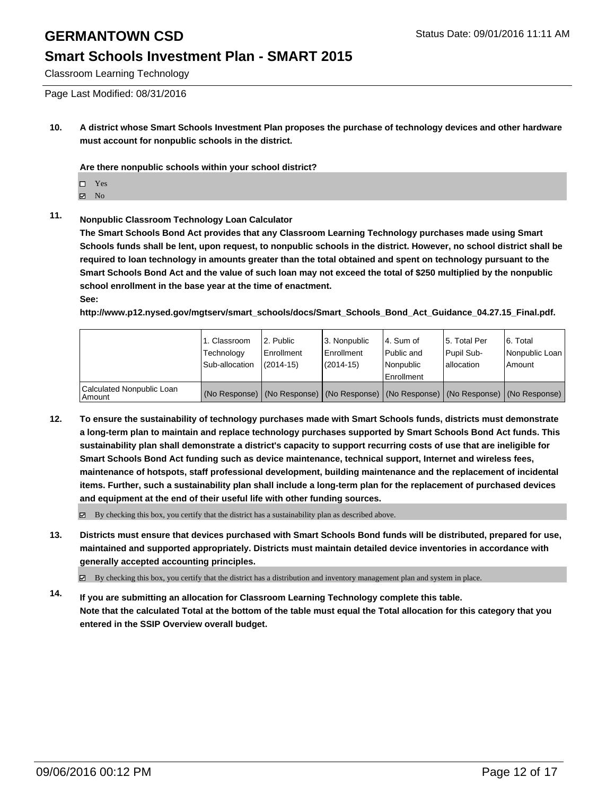### **Smart Schools Investment Plan - SMART 2015**

Classroom Learning Technology

Page Last Modified: 08/31/2016

**10. A district whose Smart Schools Investment Plan proposes the purchase of technology devices and other hardware must account for nonpublic schools in the district.**

**Are there nonpublic schools within your school district?**

- Yes
- **Z** No

#### **11. Nonpublic Classroom Technology Loan Calculator**

**The Smart Schools Bond Act provides that any Classroom Learning Technology purchases made using Smart Schools funds shall be lent, upon request, to nonpublic schools in the district. However, no school district shall be required to loan technology in amounts greater than the total obtained and spent on technology pursuant to the Smart Schools Bond Act and the value of such loan may not exceed the total of \$250 multiplied by the nonpublic school enrollment in the base year at the time of enactment. See:**

**http://www.p12.nysed.gov/mgtserv/smart\_schools/docs/Smart\_Schools\_Bond\_Act\_Guidance\_04.27.15\_Final.pdf.**

|                                       | 1. Classroom<br>Technology<br>Sub-allocation | l 2. Public<br>Enrollment<br>$(2014 - 15)$ | 3. Nonpublic<br><b>Enrollment</b><br>$(2014 - 15)$ | 4. Sum of<br>Public and<br>l Nonpublic<br>Enrollment                                          | l 5. Total Per<br>l Pupil Sub-<br>lallocation | 6. Total<br>Nonpublic Loan<br>Amount |
|---------------------------------------|----------------------------------------------|--------------------------------------------|----------------------------------------------------|-----------------------------------------------------------------------------------------------|-----------------------------------------------|--------------------------------------|
| Calculated Nonpublic Loan<br>  Amount |                                              |                                            |                                                    | (No Response)   (No Response)   (No Response)   (No Response)   (No Response)   (No Response) |                                               |                                      |

**12. To ensure the sustainability of technology purchases made with Smart Schools funds, districts must demonstrate a long-term plan to maintain and replace technology purchases supported by Smart Schools Bond Act funds. This sustainability plan shall demonstrate a district's capacity to support recurring costs of use that are ineligible for Smart Schools Bond Act funding such as device maintenance, technical support, Internet and wireless fees, maintenance of hotspots, staff professional development, building maintenance and the replacement of incidental items. Further, such a sustainability plan shall include a long-term plan for the replacement of purchased devices and equipment at the end of their useful life with other funding sources.**

 $\boxtimes$  By checking this box, you certify that the district has a sustainability plan as described above.

**13. Districts must ensure that devices purchased with Smart Schools Bond funds will be distributed, prepared for use, maintained and supported appropriately. Districts must maintain detailed device inventories in accordance with generally accepted accounting principles.**

By checking this box, you certify that the district has a distribution and inventory management plan and system in place.

**14. If you are submitting an allocation for Classroom Learning Technology complete this table. Note that the calculated Total at the bottom of the table must equal the Total allocation for this category that you entered in the SSIP Overview overall budget.**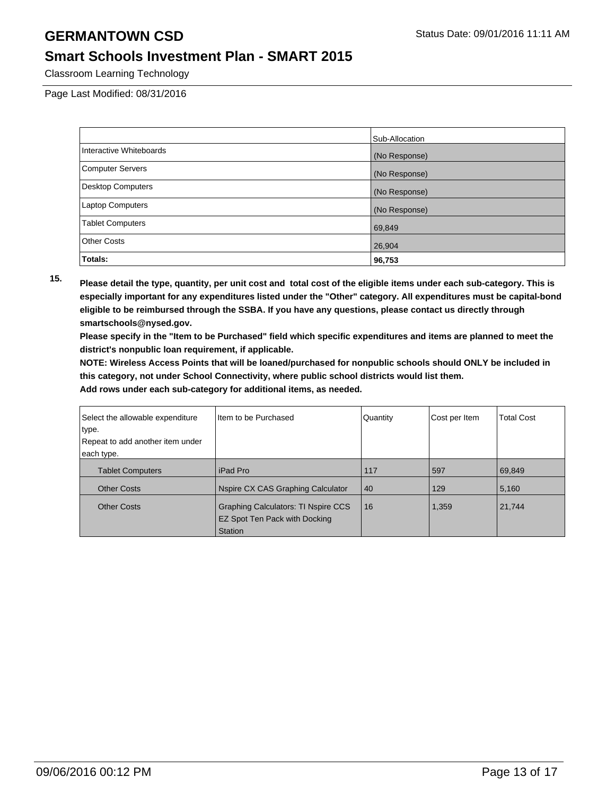### **Smart Schools Investment Plan - SMART 2015**

Classroom Learning Technology

Page Last Modified: 08/31/2016

|                         | Sub-Allocation |
|-------------------------|----------------|
| Interactive Whiteboards | (No Response)  |
| <b>Computer Servers</b> | (No Response)  |
| Desktop Computers       | (No Response)  |
| Laptop Computers        | (No Response)  |
| <b>Tablet Computers</b> | 69,849         |
| <b>Other Costs</b>      | 26,904         |
| Totals:                 | 96,753         |

**15. Please detail the type, quantity, per unit cost and total cost of the eligible items under each sub-category. This is especially important for any expenditures listed under the "Other" category. All expenditures must be capital-bond eligible to be reimbursed through the SSBA. If you have any questions, please contact us directly through smartschools@nysed.gov.**

**Please specify in the "Item to be Purchased" field which specific expenditures and items are planned to meet the district's nonpublic loan requirement, if applicable.**

**NOTE: Wireless Access Points that will be loaned/purchased for nonpublic schools should ONLY be included in this category, not under School Connectivity, where public school districts would list them.**

| Select the allowable expenditure<br>type.<br>Repeat to add another item under | I Item to be Purchased                                                                 | Quantity | Cost per Item | <b>Total Cost</b> |
|-------------------------------------------------------------------------------|----------------------------------------------------------------------------------------|----------|---------------|-------------------|
| each type.                                                                    |                                                                                        |          |               |                   |
| <b>Tablet Computers</b>                                                       | iPad Pro                                                                               | 117      | 597           | 69,849            |
| <b>Other Costs</b>                                                            | Nspire CX CAS Graphing Calculator                                                      | 40       | 129           | 5,160             |
| <b>Other Costs</b>                                                            | Graphing Calculators: TI Nspire CCS<br>EZ Spot Ten Pack with Docking<br><b>Station</b> | 16       | 1,359         | 21,744            |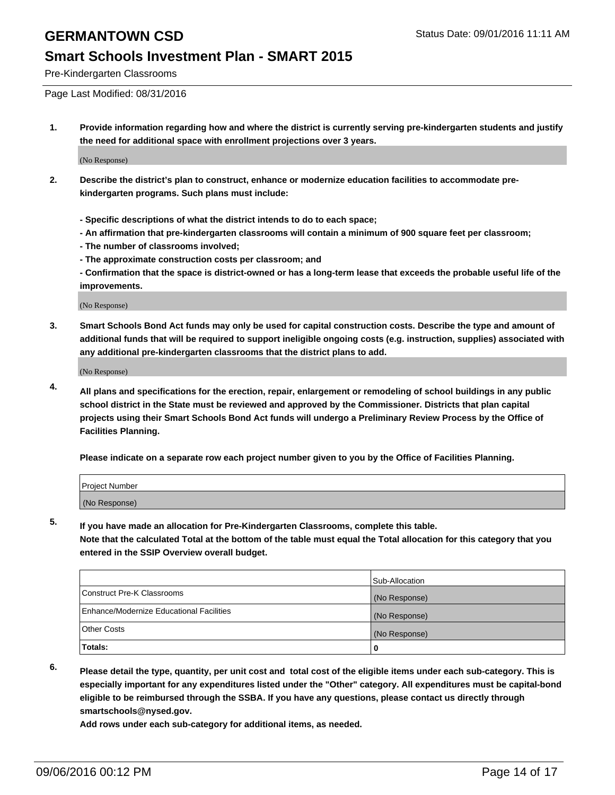### **Smart Schools Investment Plan - SMART 2015**

Pre-Kindergarten Classrooms

Page Last Modified: 08/31/2016

**1. Provide information regarding how and where the district is currently serving pre-kindergarten students and justify the need for additional space with enrollment projections over 3 years.**

(No Response)

- **2. Describe the district's plan to construct, enhance or modernize education facilities to accommodate prekindergarten programs. Such plans must include:**
	- **Specific descriptions of what the district intends to do to each space;**
	- **An affirmation that pre-kindergarten classrooms will contain a minimum of 900 square feet per classroom;**
	- **The number of classrooms involved;**
	- **The approximate construction costs per classroom; and**
	- **Confirmation that the space is district-owned or has a long-term lease that exceeds the probable useful life of the improvements.**

(No Response)

**3. Smart Schools Bond Act funds may only be used for capital construction costs. Describe the type and amount of additional funds that will be required to support ineligible ongoing costs (e.g. instruction, supplies) associated with any additional pre-kindergarten classrooms that the district plans to add.**

(No Response)

**4. All plans and specifications for the erection, repair, enlargement or remodeling of school buildings in any public school district in the State must be reviewed and approved by the Commissioner. Districts that plan capital projects using their Smart Schools Bond Act funds will undergo a Preliminary Review Process by the Office of Facilities Planning.**

**Please indicate on a separate row each project number given to you by the Office of Facilities Planning.**

| Project Number |  |
|----------------|--|
| (No Response)  |  |

**5. If you have made an allocation for Pre-Kindergarten Classrooms, complete this table.**

**Note that the calculated Total at the bottom of the table must equal the Total allocation for this category that you entered in the SSIP Overview overall budget.**

|                                          | Sub-Allocation |
|------------------------------------------|----------------|
| Construct Pre-K Classrooms               | (No Response)  |
| Enhance/Modernize Educational Facilities | (No Response)  |
| Other Costs                              | (No Response)  |
| <b>Totals:</b>                           |                |

- 
- **6. Please detail the type, quantity, per unit cost and total cost of the eligible items under each sub-category. This is especially important for any expenditures listed under the "Other" category. All expenditures must be capital-bond eligible to be reimbursed through the SSBA. If you have any questions, please contact us directly through smartschools@nysed.gov.**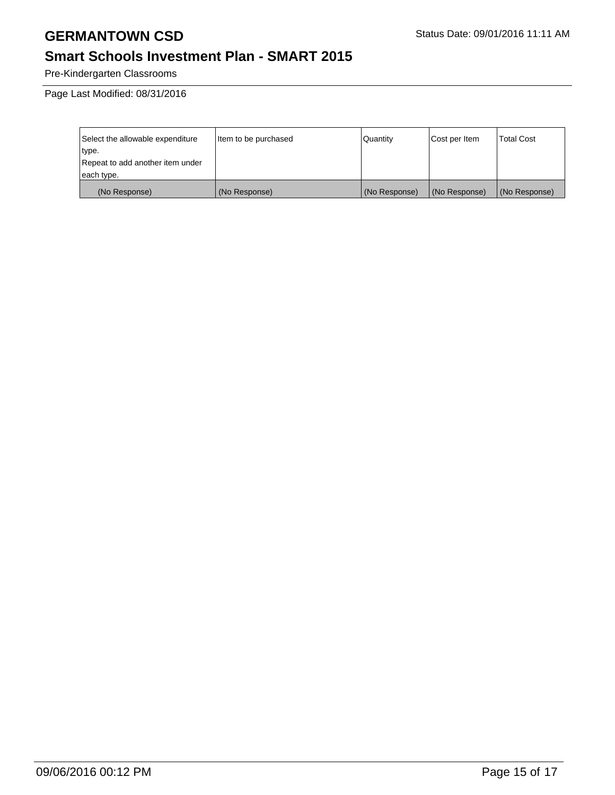## **Smart Schools Investment Plan - SMART 2015**

Pre-Kindergarten Classrooms

Page Last Modified: 08/31/2016

| Select the allowable expenditure | Item to be purchased | Quantity      | Cost per Item | <b>Total Cost</b> |
|----------------------------------|----------------------|---------------|---------------|-------------------|
| type.                            |                      |               |               |                   |
| Repeat to add another item under |                      |               |               |                   |
| each type.                       |                      |               |               |                   |
| (No Response)                    | (No Response)        | (No Response) | (No Response) | (No Response)     |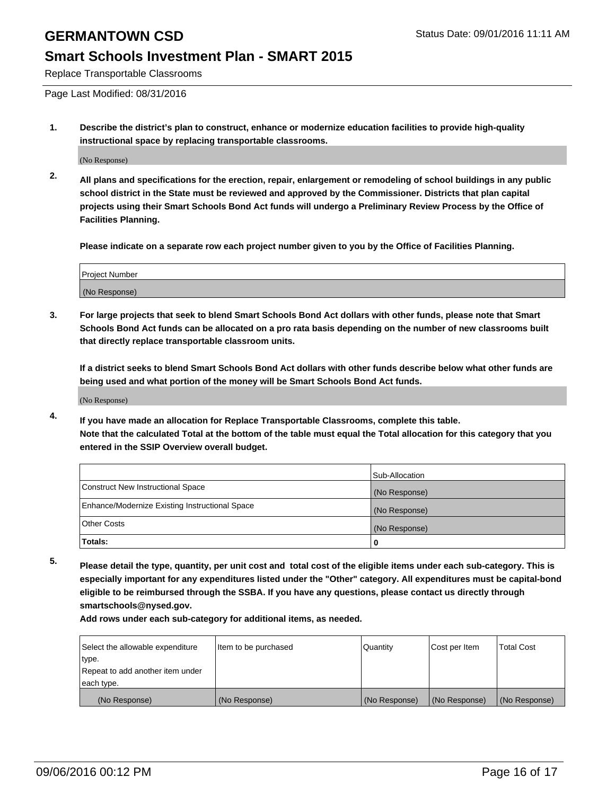#### **Smart Schools Investment Plan - SMART 2015**

Replace Transportable Classrooms

Page Last Modified: 08/31/2016

**1. Describe the district's plan to construct, enhance or modernize education facilities to provide high-quality instructional space by replacing transportable classrooms.**

(No Response)

**2. All plans and specifications for the erection, repair, enlargement or remodeling of school buildings in any public school district in the State must be reviewed and approved by the Commissioner. Districts that plan capital projects using their Smart Schools Bond Act funds will undergo a Preliminary Review Process by the Office of Facilities Planning.**

**Please indicate on a separate row each project number given to you by the Office of Facilities Planning.**

| Project Number |  |
|----------------|--|
| (No Response)  |  |

**3. For large projects that seek to blend Smart Schools Bond Act dollars with other funds, please note that Smart Schools Bond Act funds can be allocated on a pro rata basis depending on the number of new classrooms built that directly replace transportable classroom units.**

**If a district seeks to blend Smart Schools Bond Act dollars with other funds describe below what other funds are being used and what portion of the money will be Smart Schools Bond Act funds.**

(No Response)

**4. If you have made an allocation for Replace Transportable Classrooms, complete this table. Note that the calculated Total at the bottom of the table must equal the Total allocation for this category that you entered in the SSIP Overview overall budget.**

|                                                | Sub-Allocation |
|------------------------------------------------|----------------|
| Construct New Instructional Space              | (No Response)  |
| Enhance/Modernize Existing Instructional Space | (No Response)  |
| Other Costs                                    | (No Response)  |
| Totals:                                        | 0              |

**5. Please detail the type, quantity, per unit cost and total cost of the eligible items under each sub-category. This is especially important for any expenditures listed under the "Other" category. All expenditures must be capital-bond eligible to be reimbursed through the SSBA. If you have any questions, please contact us directly through smartschools@nysed.gov.**

| Select the allowable expenditure | Item to be purchased | Quantity      | Cost per Item | <b>Total Cost</b> |
|----------------------------------|----------------------|---------------|---------------|-------------------|
| type.                            |                      |               |               |                   |
| Repeat to add another item under |                      |               |               |                   |
| each type.                       |                      |               |               |                   |
| (No Response)                    | (No Response)        | (No Response) | (No Response) | (No Response)     |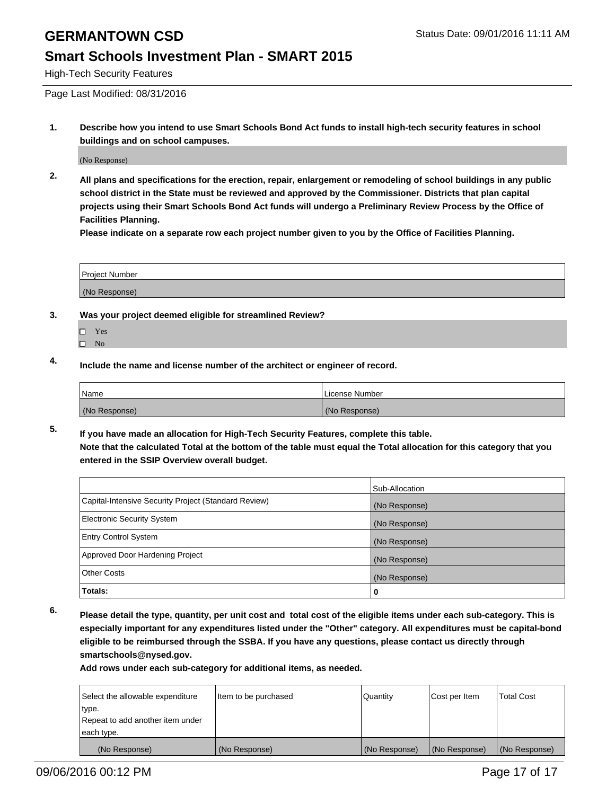#### **Smart Schools Investment Plan - SMART 2015**

High-Tech Security Features

Page Last Modified: 08/31/2016

**1. Describe how you intend to use Smart Schools Bond Act funds to install high-tech security features in school buildings and on school campuses.**

(No Response)

**2. All plans and specifications for the erection, repair, enlargement or remodeling of school buildings in any public school district in the State must be reviewed and approved by the Commissioner. Districts that plan capital projects using their Smart Schools Bond Act funds will undergo a Preliminary Review Process by the Office of Facilities Planning.** 

**Please indicate on a separate row each project number given to you by the Office of Facilities Planning.**

| <b>Project Number</b> |  |
|-----------------------|--|
| (No Response)         |  |

- **3. Was your project deemed eligible for streamlined Review?**
	- □ Yes
	- $\square$  No
- **4. Include the name and license number of the architect or engineer of record.**

| Name          | License Number |
|---------------|----------------|
| (No Response) | (No Response)  |

**5. If you have made an allocation for High-Tech Security Features, complete this table. Note that the calculated Total at the bottom of the table must equal the Total allocation for this category that you entered in the SSIP Overview overall budget.**

|                                                      | Sub-Allocation |
|------------------------------------------------------|----------------|
| Capital-Intensive Security Project (Standard Review) | (No Response)  |
| <b>Electronic Security System</b>                    | (No Response)  |
| <b>Entry Control System</b>                          | (No Response)  |
| Approved Door Hardening Project                      | (No Response)  |
| <b>Other Costs</b>                                   | (No Response)  |
| Totals:                                              | 0              |

**6. Please detail the type, quantity, per unit cost and total cost of the eligible items under each sub-category. This is especially important for any expenditures listed under the "Other" category. All expenditures must be capital-bond eligible to be reimbursed through the SSBA. If you have any questions, please contact us directly through smartschools@nysed.gov.**

| Select the allowable expenditure | Item to be purchased | Quantity      | Cost per Item | <b>Total Cost</b> |
|----------------------------------|----------------------|---------------|---------------|-------------------|
| type.                            |                      |               |               |                   |
| Repeat to add another item under |                      |               |               |                   |
| each type.                       |                      |               |               |                   |
| (No Response)                    | (No Response)        | (No Response) | (No Response) | (No Response)     |